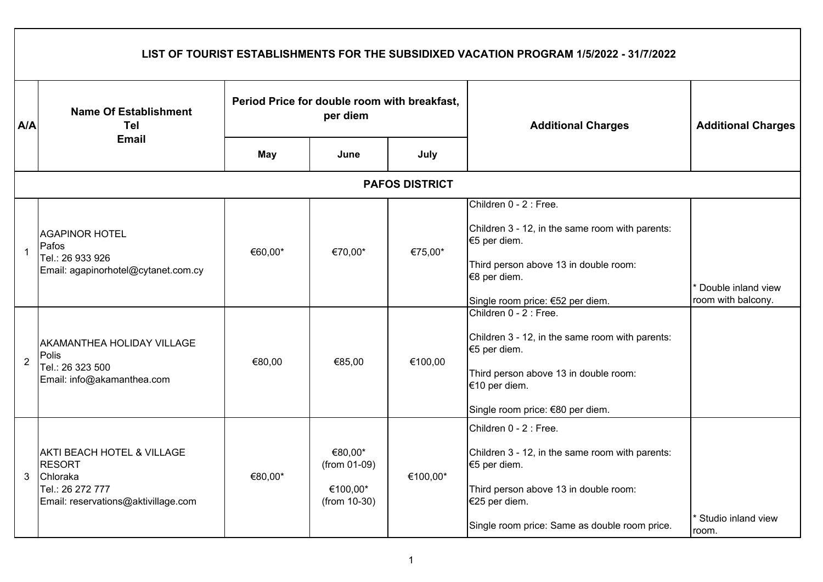|                | LIST OF TOURIST ESTABLISHMENTS FOR THE SUBSIDIXED VACATION PROGRAM 1/5/2022 - 31/7/2022                                       |                                              |                                                     |          |                                                                                                                                                                                                      |                                          |  |  |  |  |
|----------------|-------------------------------------------------------------------------------------------------------------------------------|----------------------------------------------|-----------------------------------------------------|----------|------------------------------------------------------------------------------------------------------------------------------------------------------------------------------------------------------|------------------------------------------|--|--|--|--|
| A/A            | <b>Name Of Establishment</b><br>Tel                                                                                           | Period Price for double room with breakfast, | per diem                                            |          | <b>Additional Charges</b>                                                                                                                                                                            | <b>Additional Charges</b>                |  |  |  |  |
|                | <b>Email</b>                                                                                                                  | <b>May</b>                                   | June                                                | July     |                                                                                                                                                                                                      |                                          |  |  |  |  |
|                | <b>PAFOS DISTRICT</b>                                                                                                         |                                              |                                                     |          |                                                                                                                                                                                                      |                                          |  |  |  |  |
| $\mathbf{1}$   | <b>AGAPINOR HOTEL</b><br>Pafos<br>Tel.: 26 933 926<br>Email: agapinorhotel@cytanet.com.cy                                     | €60,00*                                      | €70,00*                                             | €75,00*  | Children 0 - 2 : Free.<br>Children 3 - 12, in the same room with parents:<br>€5 per diem.<br>Third person above 13 in double room:<br>€8 per diem.<br>Single room price: €52 per diem.               | Double inland view<br>room with balcony. |  |  |  |  |
| $\overline{2}$ | <b>AKAMANTHEA HOLIDAY VILLAGE</b><br>Polis<br>Tel.: 26 323 500<br>Email: info@akamanthea.com                                  | €80,00                                       | €85,00                                              | €100,00  | Children 0 - 2 : Free.<br>Children 3 - 12, in the same room with parents:<br>€5 per diem.<br>Third person above 13 in double room:<br>€10 per diem.<br>Single room price: €80 per diem.              |                                          |  |  |  |  |
| 3              | <b>AKTI BEACH HOTEL &amp; VILLAGE</b><br><b>RESORT</b><br>Chloraka<br>Tel.: 26 272 777<br>Email: reservations@aktivillage.com | €80,00*                                      | €80,00*<br>(from 01-09)<br>€100,00*<br>(from 10-30) | €100,00* | Children 0 - 2 : Free.<br>Children 3 - 12, in the same room with parents:<br>€5 per diem.<br>Third person above 13 in double room:<br>€25 per diem.<br>Single room price: Same as double room price. | Studio inland view<br>room.              |  |  |  |  |

 $\mathsf{r}$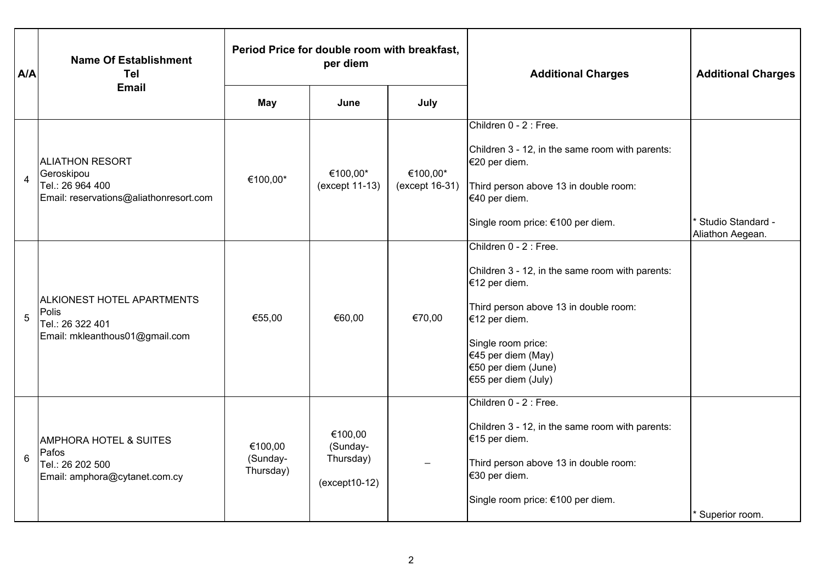| A/A            | <b>Name Of Establishment</b><br><b>Tel</b>                                                         | Period Price for double room with breakfast,<br>per diem |                                                      |                            | <b>Additional Charges</b>                                                                                                                                                                                                                      | <b>Additional Charges</b>             |
|----------------|----------------------------------------------------------------------------------------------------|----------------------------------------------------------|------------------------------------------------------|----------------------------|------------------------------------------------------------------------------------------------------------------------------------------------------------------------------------------------------------------------------------------------|---------------------------------------|
|                | Email                                                                                              | <b>May</b>                                               | June                                                 | July                       |                                                                                                                                                                                                                                                |                                       |
| $\overline{4}$ | <b>ALIATHON RESORT</b><br>Geroskipou<br>Tel.: 26 964 400<br>Email: reservations@aliathonresort.com | €100,00*                                                 | €100,00*<br>(except 11-13)                           | €100,00*<br>(except 16-31) | Children 0 - 2 : Free.<br>Children 3 - 12, in the same room with parents:<br>€20 per diem.<br>Third person above 13 in double room:<br>€40 per diem.<br>Single room price: €100 per diem.                                                      | Studio Standard -<br>Aliathon Aegean. |
| 5              | <b>ALKIONEST HOTEL APARTMENTS</b><br>Polis<br>Tel.: 26 322 401<br>Email: mkleanthous01@gmail.com   | €55,00                                                   | €60,00                                               | €70,00                     | Children 0 - 2 : Free.<br>Children 3 - 12, in the same room with parents:<br>€12 per diem.<br>Third person above 13 in double room:<br>€12 per diem.<br>Single room price:<br>€45 per diem (May)<br>€50 per diem (June)<br>€55 per diem (July) |                                       |
| 6              | <b>AMPHORA HOTEL &amp; SUITES</b><br>Pafos<br>Tel.: 26 202 500<br>Email: amphora@cytanet.com.cy    | €100,00<br>(Sunday-<br>Thursday)                         | €100,00<br>(Sunday-<br>Thursday)<br>$(except 10-12)$ |                            | Children 0 - 2 : Free.<br>Children 3 - 12, in the same room with parents:<br>€15 per diem.<br>Third person above 13 in double room:<br>€30 per diem.<br>Single room price: €100 per diem.                                                      | * Superior room.                      |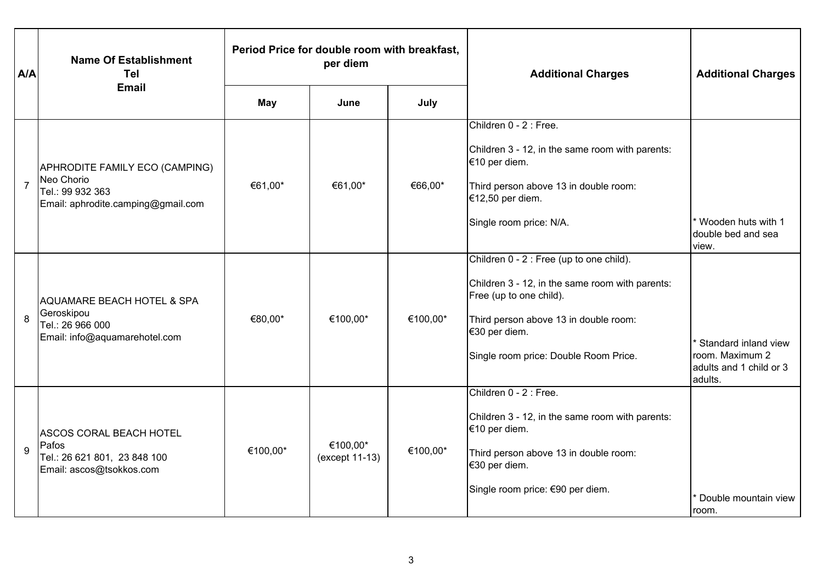| A/A            | <b>Name Of Establishment</b><br>Tel                                                                      | Period Price for double room with breakfast,<br>per diem |                            |          | <b>Additional Charges</b>                                                                                                                                                                                                 | <b>Additional Charges</b>                                                                  |
|----------------|----------------------------------------------------------------------------------------------------------|----------------------------------------------------------|----------------------------|----------|---------------------------------------------------------------------------------------------------------------------------------------------------------------------------------------------------------------------------|--------------------------------------------------------------------------------------------|
|                | <b>Email</b>                                                                                             | <b>May</b>                                               | June                       | July     |                                                                                                                                                                                                                           |                                                                                            |
| $\overline{7}$ | APHRODITE FAMILY ECO (CAMPING)<br>Neo Chorio<br>Tel.: 99 932 363<br>Email: aphrodite.camping@gmail.com   | €61,00*                                                  | €61,00*                    | €66,00*  | Children 0 - 2 : Free.<br>Children 3 - 12, in the same room with parents:<br>€10 per diem.<br>Third person above 13 in double room:<br>€12,50 per diem.<br>Single room price: N/A.                                        | * Wooden huts with 1<br>double bed and sea<br>view.                                        |
| 8              | <b>AQUAMARE BEACH HOTEL &amp; SPA</b><br>Geroskipou<br>Tel.: 26 966 000<br>Email: info@aquamarehotel.com | €80,00*                                                  | €100,00*                   | €100,00* | Children 0 - 2 : Free (up to one child).<br>Children 3 - 12, in the same room with parents:<br>Free (up to one child).<br>Third person above 13 in double room:<br>€30 per diem.<br>Single room price: Double Room Price. | <sup>*</sup> Standard inland view<br>room. Maximum 2<br>adults and 1 child or 3<br>adults. |
| $\mathbf{Q}$   | <b>ASCOS CORAL BEACH HOTEL</b><br>Pafos<br>Tel.: 26 621 801, 23 848 100<br>Email: ascos@tsokkos.com      | €100,00*                                                 | €100,00*<br>(except 11-13) | €100,00* | Children 0 - 2 : Free.<br>Children 3 - 12, in the same room with parents:<br>€10 per diem.<br>Third person above 13 in double room:<br>€30 per diem.<br>Single room price: €90 per diem.                                  | Double mountain view<br>room.                                                              |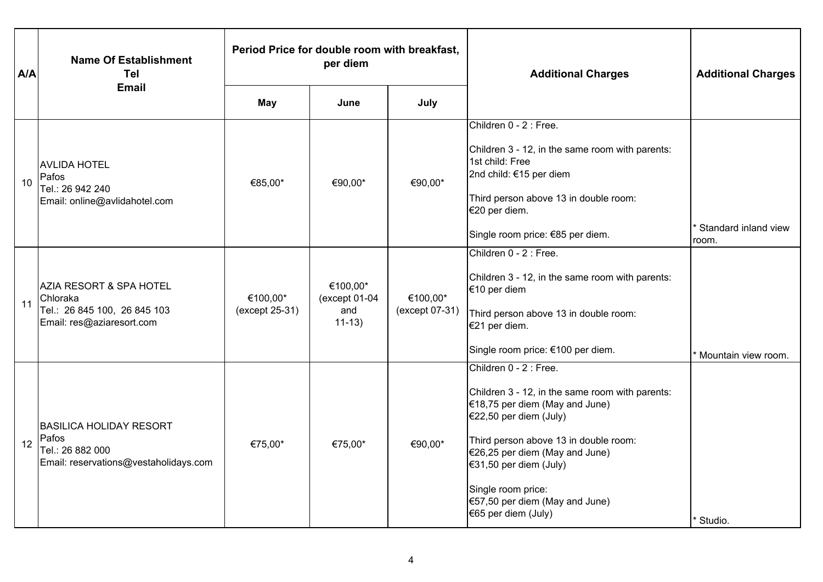| A/A | <b>Name Of Establishment</b><br>Tel                                                                         | Period Price for double room with breakfast,<br>per diem |                                                 |                            | <b>Additional Charges</b>                                                                                                                                                                                                                                                                                                         | <b>Additional Charges</b>     |
|-----|-------------------------------------------------------------------------------------------------------------|----------------------------------------------------------|-------------------------------------------------|----------------------------|-----------------------------------------------------------------------------------------------------------------------------------------------------------------------------------------------------------------------------------------------------------------------------------------------------------------------------------|-------------------------------|
|     | <b>Email</b>                                                                                                | <b>May</b>                                               | June                                            | July                       |                                                                                                                                                                                                                                                                                                                                   |                               |
| 10  | <b>AVLIDA HOTEL</b><br>Pafos<br>Tel.: 26 942 240<br>Email: online@avlidahotel.com                           | €85,00*                                                  | €90,00*                                         | €90,00*                    | Children 0 - 2 : Free.<br>Children 3 - 12, in the same room with parents:<br>1st child: Free<br>2nd child: €15 per diem<br>Third person above 13 in double room:<br>€20 per diem.<br>Single room price: €85 per diem.<br>Children 0 - 2 : Free.                                                                                   | Standard inland view<br>room. |
| 11  | <b>AZIA RESORT &amp; SPA HOTEL</b><br>Chloraka<br>Tel.: 26 845 100, 26 845 103<br>Email: res@aziaresort.com | €100,00*<br>(except 25-31)                               | €100,00*<br>$(except 01-04)$<br>and<br>$11-13)$ | €100,00*<br>(except 07-31) | Children 3 - 12, in the same room with parents:<br>€10 per diem<br>Third person above 13 in double room:<br>€21 per diem.<br>Single room price: €100 per diem.                                                                                                                                                                    | Mountain view room.           |
| 12  | <b>BASILICA HOLIDAY RESORT</b><br>Pafos<br>Tel.: 26 882 000<br>Email: reservations@vestaholidays.com        | €75,00*                                                  | €75,00*                                         | €90,00*                    | Children 0 - 2 : Free.<br>Children 3 - 12, in the same room with parents:<br>$€18,75$ per diem (May and June)<br>$€22,50$ per diem (July)<br>Third person above 13 in double room:<br>$€26,25$ per diem (May and June)<br>€31,50 per diem (July)<br>Single room price:<br>$€57,50$ per diem (May and June)<br>€65 per diem (July) | Studio.                       |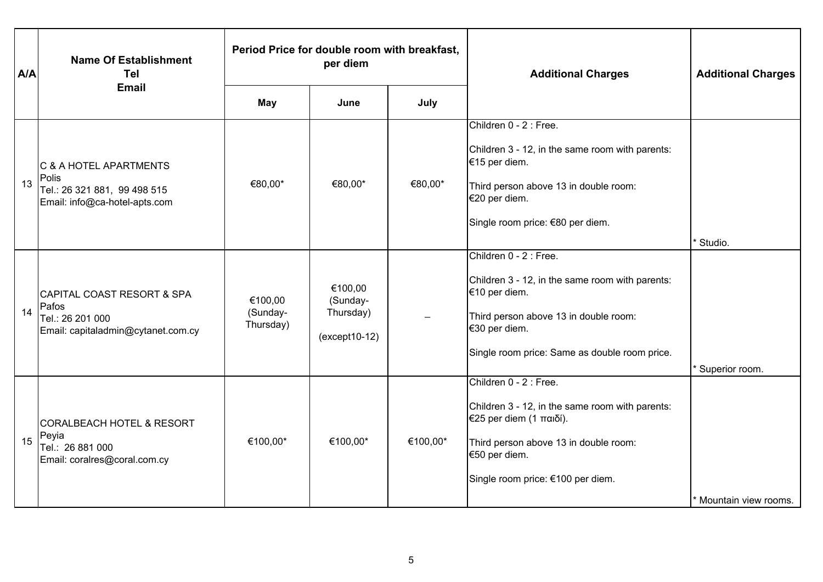| A/A | <b>Name Of Establishment</b><br><b>Tel</b>                                                        | Period Price for double room with breakfast,<br>per diem |                                                      |          | <b>Additional Charges</b>                                                                                                                                                                             | <b>Additional Charges</b> |
|-----|---------------------------------------------------------------------------------------------------|----------------------------------------------------------|------------------------------------------------------|----------|-------------------------------------------------------------------------------------------------------------------------------------------------------------------------------------------------------|---------------------------|
|     | <b>Email</b>                                                                                      | <b>May</b>                                               | June                                                 | July     |                                                                                                                                                                                                       |                           |
| 13  | C & A HOTEL APARTMENTS<br>Polis<br>Tel.: 26 321 881, 99 498 515<br>Email: info@ca-hotel-apts.com  | €80,00*                                                  | €80,00*                                              | €80,00*  | Children 0 - 2 : Free.<br>Children 3 - 12, in the same room with parents:<br>€15 per diem.<br>Third person above 13 in double room:<br>€20 per diem.<br>Single room price: €80 per diem.              | Studio.                   |
| 14  | CAPITAL COAST RESORT & SPA<br>Pafos<br>Tel.: 26 201 000<br>Email: capitaladmin@cytanet.com.cy     | €100,00<br>(Sunday-<br>Thursday)                         | €100,00<br>(Sunday-<br>Thursday)<br>$(except 10-12)$ |          | Children 0 - 2 : Free.<br>Children 3 - 12, in the same room with parents:<br>€10 per diem.<br>Third person above 13 in double room:<br>€30 per diem.<br>Single room price: Same as double room price. | Superior room.            |
| 15  | <b>CORALBEACH HOTEL &amp; RESORT</b><br>Peyia<br>Tel.: 26 881 000<br>Email: coralres@coral.com.cy | €100,00*                                                 | €100,00*                                             | €100,00* | Children 0 - 2 : Free.<br>Children 3 - 12, in the same room with parents:<br>€25 per diem (1 παιδί).<br>Third person above 13 in double room:<br>€50 per diem.<br>Single room price: €100 per diem.   | Mountain view rooms.      |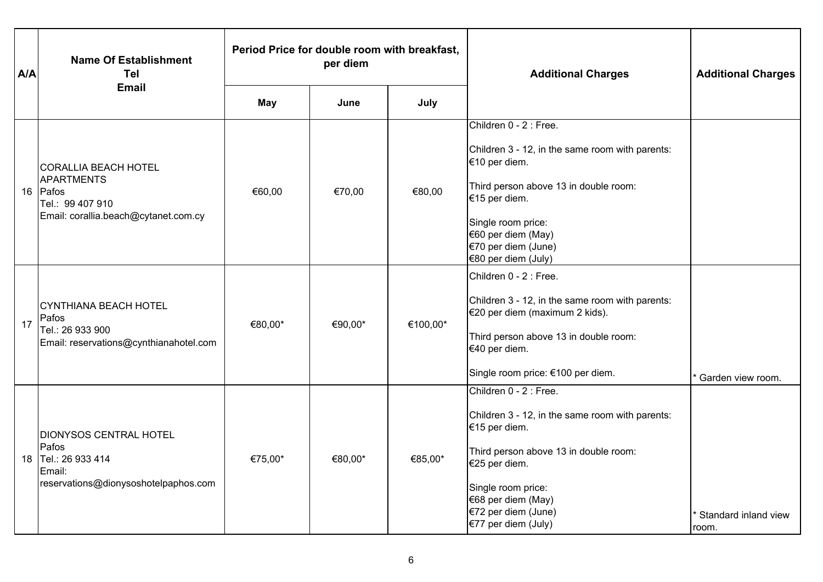| A/A | <b>Name Of Establishment</b><br>Tel                                                                               | Period Price for double room with breakfast,<br>per diem |         |          | <b>Additional Charges</b>                                                                                                                                                                                                                      | <b>Additional Charges</b>     |
|-----|-------------------------------------------------------------------------------------------------------------------|----------------------------------------------------------|---------|----------|------------------------------------------------------------------------------------------------------------------------------------------------------------------------------------------------------------------------------------------------|-------------------------------|
|     | <b>Email</b>                                                                                                      | <b>May</b>                                               | June    | July     |                                                                                                                                                                                                                                                |                               |
|     | <b>CORALLIA BEACH HOTEL</b><br>APARTMENTS<br>16 Pafos<br>Tel.: 99 407 910<br>Email: corallia.beach@cytanet.com.cy | €60,00                                                   | €70,00  | €80,00   | Children 0 - 2 : Free.<br>Children 3 - 12, in the same room with parents:<br>€10 per diem.<br>Third person above 13 in double room:<br>€15 per diem.<br>Single room price:<br>€60 per diem (May)<br>€70 per diem (June)<br>€80 per diem (July) |                               |
| 17  | CYNTHIANA BEACH HOTEL<br>Pafos<br>Tel.: 26 933 900<br>Email: reservations@cynthianahotel.com                      | €80,00*                                                  | €90,00* | €100,00* | Children 0 - 2 : Free.<br>Children 3 - 12, in the same room with parents:<br>€20 per diem (maximum 2 kids).<br>Third person above 13 in double room:<br>€40 per diem.<br>Single room price: €100 per diem.                                     | Garden view room.             |
| 18  | <b>DIONYSOS CENTRAL HOTEL</b><br>Pafos<br>Tel.: 26 933 414<br>Email:<br>reservations@dionysoshotelpaphos.com      | €75,00*                                                  | €80,00* | €85,00*  | Children 0 - 2 : Free.<br>Children 3 - 12, in the same room with parents:<br>€15 per diem.<br>Third person above 13 in double room:<br>€25 per diem.<br>Single room price:<br>€68 per diem (May)<br>€72 per diem (June)<br>€77 per diem (July) | Standard inland view<br>room. |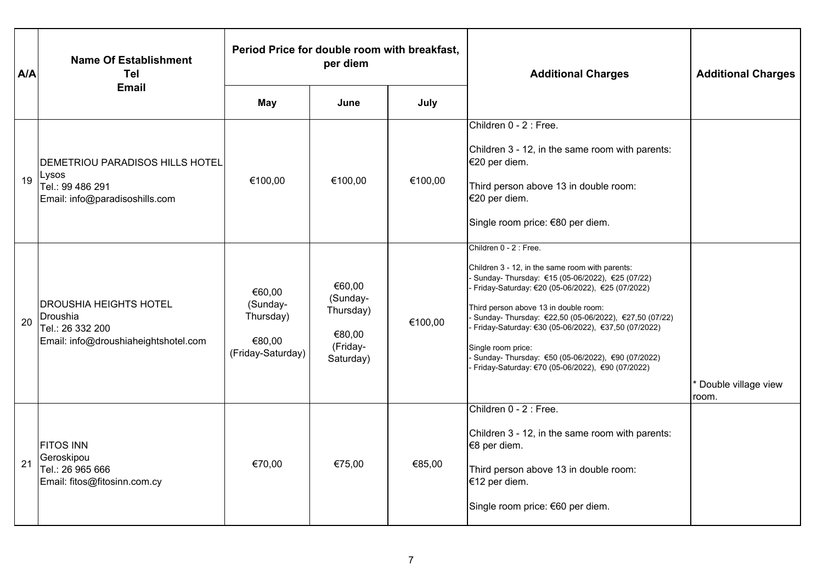| A/A | <b>Name Of Establishment</b><br>Tel                                                                   | Period Price for double room with breakfast,<br>per diem       |                                                                    |         | <b>Additional Charges</b>                                                                                                                                                                                                                                                                                                                                                                                                                                                | <b>Additional Charges</b>    |
|-----|-------------------------------------------------------------------------------------------------------|----------------------------------------------------------------|--------------------------------------------------------------------|---------|--------------------------------------------------------------------------------------------------------------------------------------------------------------------------------------------------------------------------------------------------------------------------------------------------------------------------------------------------------------------------------------------------------------------------------------------------------------------------|------------------------------|
|     | <b>Email</b>                                                                                          | <b>May</b>                                                     | June                                                               | July    |                                                                                                                                                                                                                                                                                                                                                                                                                                                                          |                              |
| 19  | IDEMETRIOU PARADISOS HILLS HOTEL<br>Lysos<br>Tel.: 99 486 291<br>Email: info@paradisoshills.com       | €100,00                                                        | €100,00                                                            | €100,00 | Children 0 - 2 : Free.<br>Children 3 - 12, in the same room with parents:<br>€20 per diem.<br>Third person above 13 in double room:<br>€20 per diem.<br>Single room price: €80 per diem.                                                                                                                                                                                                                                                                                 |                              |
| 20  | <b>DROUSHIA HEIGHTS HOTEL</b><br>Droushia<br>Tel.: 26 332 200<br>Email: info@droushiaheightshotel.com | €60,00<br>(Sunday-<br>Thursday)<br>€80,00<br>(Friday-Saturday) | €60,00<br>(Sunday-<br>Thursday)<br>€80,00<br>(Friday-<br>Saturday) | €100,00 | Children 0 - 2 : Free.<br>Children 3 - 12, in the same room with parents:<br>Sunday- Thursday: €15 (05-06/2022), €25 (07/22)<br>Friday-Saturday: €20 (05-06/2022), €25 (07/2022)<br>Third person above 13 in double room:<br>Sunday- Thursday: €22,50 (05-06/2022), €27,50 (07/22)<br>Friday-Saturday: €30 (05-06/2022), €37,50 (07/2022)<br>Single room price:<br>Sunday- Thursday: €50 (05-06/2022), €90 (07/2022)<br>Friday-Saturday: €70 (05-06/2022), €90 (07/2022) | Double village view<br>room. |
| 21  | <b>FITOS INN</b><br>Geroskipou<br>Tel.: 26 965 666<br>Email: fitos@fitosinn.com.cy                    | €70,00                                                         | €75,00                                                             | €85,00  | Children 0 - 2 : Free.<br>Children 3 - 12, in the same room with parents:<br>€8 per diem.<br>Third person above 13 in double room:<br>€12 per diem.<br>Single room price: €60 per diem.                                                                                                                                                                                                                                                                                  |                              |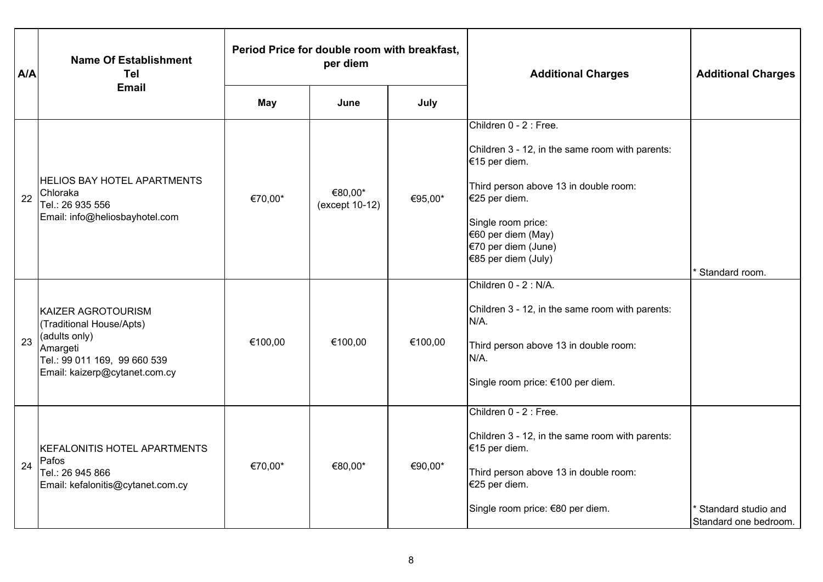| A/A | <b>Name Of Establishment</b><br><b>Tel</b>                                                                                                   | Period Price for double room with breakfast,<br>per diem |                           |         | <b>Additional Charges</b>                                                                                                                                                                                                                      | <b>Additional Charges</b>                    |
|-----|----------------------------------------------------------------------------------------------------------------------------------------------|----------------------------------------------------------|---------------------------|---------|------------------------------------------------------------------------------------------------------------------------------------------------------------------------------------------------------------------------------------------------|----------------------------------------------|
|     | <b>Email</b>                                                                                                                                 | <b>May</b>                                               | June                      | July    |                                                                                                                                                                                                                                                |                                              |
| 22  | <b>HELIOS BAY HOTEL APARTMENTS</b><br>Chloraka<br>Tel.: 26 935 556<br>Email: info@heliosbayhotel.com                                         | €70,00*                                                  | €80,00*<br>(except 10-12) | €95,00* | Children 0 - 2 : Free.<br>Children 3 - 12, in the same room with parents:<br>€15 per diem.<br>Third person above 13 in double room:<br>€25 per diem.<br>Single room price:<br>€60 per diem (May)<br>€70 per diem (June)<br>€85 per diem (July) | Standard room.                               |
| 23  | KAIZER AGROTOURISM<br>(Traditional House/Apts)<br>(adults only)<br>Amargeti<br>Tel.: 99 011 169, 99 660 539<br>Email: kaizerp@cytanet.com.cy | €100,00                                                  | €100,00                   | €100,00 | Children 0 - 2 : N/A.<br>Children 3 - 12, in the same room with parents:<br>N/A.<br>Third person above 13 in double room:<br>N/A.<br>Single room price: €100 per diem.                                                                         |                                              |
| 24  | KEFALONITIS HOTEL APARTMENTS<br>Pafos<br>Tel.: 26 945 866<br>Email: kefalonitis@cytanet.com.cy                                               | €70,00*                                                  | €80,00*                   | €90,00* | Children 0 - 2 : Free.<br>Children 3 - 12, in the same room with parents:<br>€15 per diem.<br>Third person above 13 in double room:<br>€25 per diem.<br>Single room price: €80 per diem.                                                       | Standard studio and<br>Standard one bedroom. |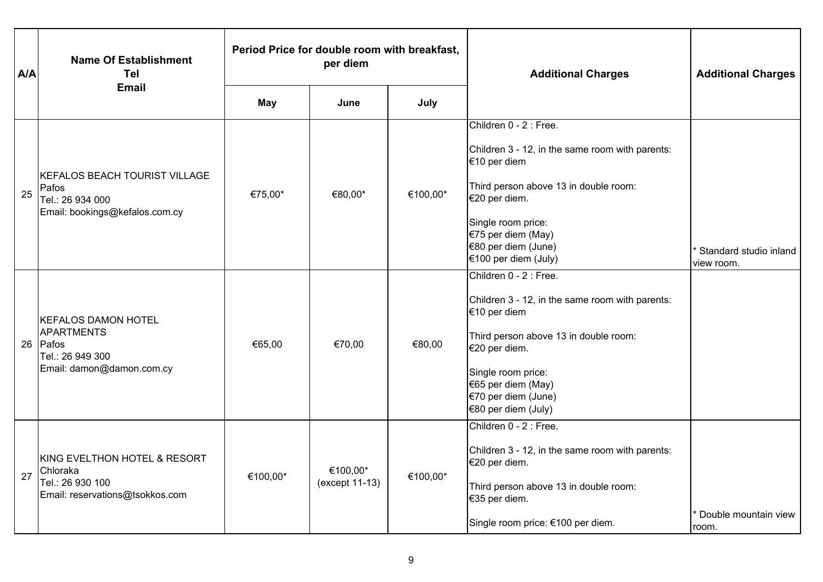| A/A | <b>Name Of Establishment</b><br>Tel                                                             | Period Price for double room with breakfast,<br>per diem |                            |          | <b>Additional Charges</b>                                                                                                                                                                                                                      | <b>Additional Charges</b>            |
|-----|-------------------------------------------------------------------------------------------------|----------------------------------------------------------|----------------------------|----------|------------------------------------------------------------------------------------------------------------------------------------------------------------------------------------------------------------------------------------------------|--------------------------------------|
|     | <b>Email</b>                                                                                    | May                                                      | June                       | July     |                                                                                                                                                                                                                                                |                                      |
| 25  | KEFALOS BEACH TOURIST VILLAGE<br>Pafos<br>Tel.: 26 934 000<br>Email: bookings@kefalos.com.cy    | €75,00*                                                  | €80,00*                    | €100,00* | Children 0 - 2 : Free.<br>Children 3 - 12, in the same room with parents:<br>€10 per diem<br>Third person above 13 in double room:<br>€20 per diem.<br>Single room price:<br>€75 per diem (May)<br>€80 per diem (June)<br>€100 per diem (July) | Standard studio inland<br>view room. |
|     | KEFALOS DAMON HOTEL<br>APARTMENTS<br>26 Pafos<br>Tel.: 26 949 300<br>Email: damon@damon.com.cy  | €65,00                                                   | €70,00                     | €80,00   | Children 0 - 2 : Free.<br>Children 3 - 12, in the same room with parents:<br>€10 per diem<br>Third person above 13 in double room:<br>€20 per diem.<br>Single room price:<br>€65 per diem (May)<br>€70 per diem (June)<br>€80 per diem (July)  |                                      |
| 27  | KING EVELTHON HOTEL & RESORT<br>Chloraka<br>Tel.: 26 930 100<br>Email: reservations@tsokkos.com | €100,00*                                                 | €100,00*<br>(except 11-13) | €100,00* | Children 0 - 2 : Free.<br>Children 3 - 12, in the same room with parents:<br>€20 per diem.<br>Third person above 13 in double room:<br>€35 per diem.<br>Single room price: €100 per diem.                                                      | Double mountain view<br>room.        |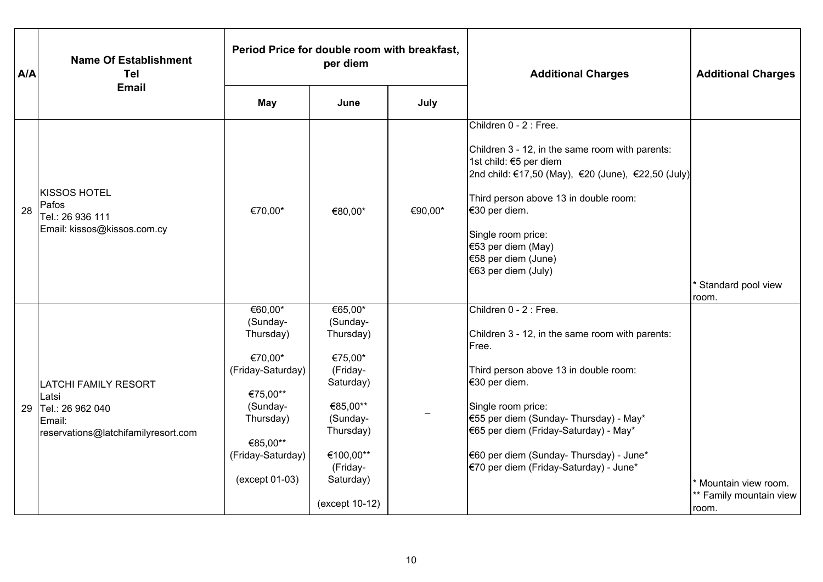| A/A | <b>Name Of Establishment</b><br><b>Tel</b>                                                                | Period Price for double room with breakfast,<br>per diem                                                                                                 |                                                                                                                                                                   |         | <b>Additional Charges</b>                                                                                                                                                                                                                                                                                                                   | <b>Additional Charges</b>                               |
|-----|-----------------------------------------------------------------------------------------------------------|----------------------------------------------------------------------------------------------------------------------------------------------------------|-------------------------------------------------------------------------------------------------------------------------------------------------------------------|---------|---------------------------------------------------------------------------------------------------------------------------------------------------------------------------------------------------------------------------------------------------------------------------------------------------------------------------------------------|---------------------------------------------------------|
|     | <b>Email</b>                                                                                              | <b>May</b>                                                                                                                                               | June                                                                                                                                                              | July    |                                                                                                                                                                                                                                                                                                                                             |                                                         |
| 28  | <b>KISSOS HOTEL</b><br>Pafos<br>Tel.: 26 936 111<br>Email: kissos@kissos.com.cy                           | €70,00*                                                                                                                                                  | €80,00*                                                                                                                                                           | €90,00* | Children 0 - 2 : Free.<br>Children 3 - 12, in the same room with parents:<br>1st child: €5 per diem<br>2nd child: €17,50 (May), €20 (June), €22,50 (July)<br>Third person above 13 in double room:<br>€30 per diem.<br>Single room price:<br>€53 per diem (May)<br>€58 per diem (June)<br>€63 per diem (July)                               | Standard pool view<br>room.                             |
| 29  | <b>LATCHI FAMILY RESORT</b><br>Latsi<br>Tel.: 26 962 040<br>Email:<br>reservations@latchifamilyresort.com | €60,00*<br>(Sunday-<br>Thursday)<br>€70,00*<br>(Friday-Saturday)<br>€75,00**<br>(Sunday-<br>Thursday)<br>€85,00**<br>(Friday-Saturday)<br>(except 01-03) | €65,00*<br>(Sunday-<br>Thursday)<br>€75,00*<br>(Friday-<br>Saturday)<br>€85,00**<br>(Sunday-<br>Thursday)<br>€100,00**<br>(Friday-<br>Saturday)<br>(except 10-12) |         | Children 0 - 2 : Free.<br>Children 3 - 12, in the same room with parents:<br>Free.<br>Third person above 13 in double room:<br>€30 per diem.<br>Single room price:<br>€55 per diem (Sunday- Thursday) - May*<br>€65 per diem (Friday-Saturday) - May*<br>€60 per diem (Sunday- Thursday) - June*<br>(€70 per diem (Friday-Saturday) - June* | Mountain view room.<br>** Family mountain view<br>room. |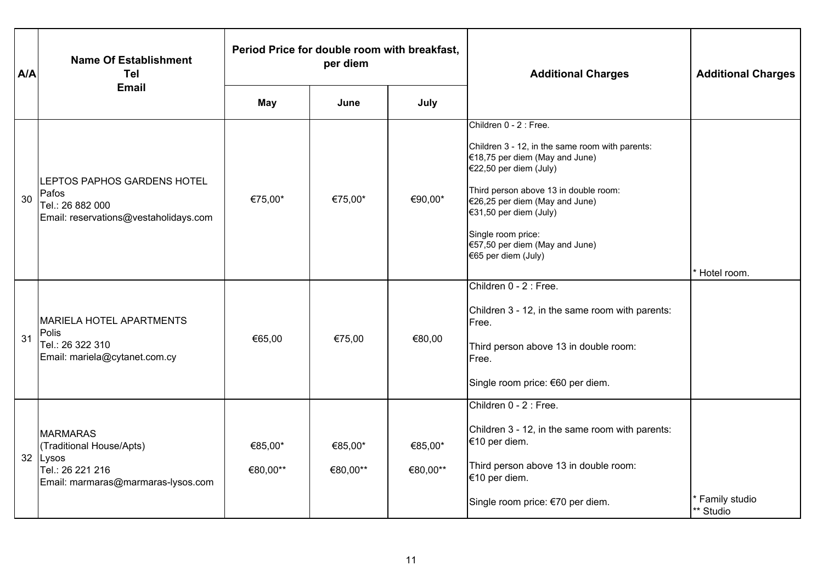| A/A | <b>Name Of Establishment</b><br>Tel                                                                               | Period Price for double room with breakfast,<br>per diem |                     |                     | <b>Additional Charges</b>                                                                                                                                                                                                                                                                                                   | <b>Additional Charges</b>  |
|-----|-------------------------------------------------------------------------------------------------------------------|----------------------------------------------------------|---------------------|---------------------|-----------------------------------------------------------------------------------------------------------------------------------------------------------------------------------------------------------------------------------------------------------------------------------------------------------------------------|----------------------------|
|     | <b>Email</b>                                                                                                      | <b>May</b>                                               | June                | July                |                                                                                                                                                                                                                                                                                                                             |                            |
| 30  | LEPTOS PAPHOS GARDENS HOTEL<br>Pafos<br>Tel.: 26 882 000<br>Email: reservations@vestaholidays.com                 | €75,00*                                                  | €75,00*             | €90,00*             | Children 0 - 2 : Free.<br>Children 3 - 12, in the same room with parents:<br>€18,75 per diem (May and June)<br>€22,50 per diem (July)<br>Third person above 13 in double room:<br>$€26,25$ per diem (May and June)<br>€31,50 per diem (July)<br>Single room price:<br>€57,50 per diem (May and June)<br>€65 per diem (July) | Hotel room.                |
| 31  | <b>MARIELA HOTEL APARTMENTS</b><br>Polis<br>Tel.: 26 322 310<br>Email: mariela@cytanet.com.cy                     | €65,00                                                   | €75,00              | €80,00              | Children 0 - 2 : Free.<br>Children 3 - 12, in the same room with parents:<br>Free.<br>Third person above 13 in double room:<br>Free.<br>Single room price: €60 per diem.                                                                                                                                                    |                            |
|     | <b>MARMARAS</b><br>(Traditional House/Apts)<br>32 Lysos<br>Tel.: 26 221 216<br>Email: marmaras@marmaras-lysos.com | €85,00*<br>€80,00**                                      | €85,00*<br>€80,00** | €85,00*<br>€80,00** | Children 0 - 2 : Free.<br>Children 3 - 12, in the same room with parents:<br>€10 per diem.<br>Third person above 13 in double room:<br>€10 per diem.<br>Single room price: €70 per diem.                                                                                                                                    | Family studio<br>** Studio |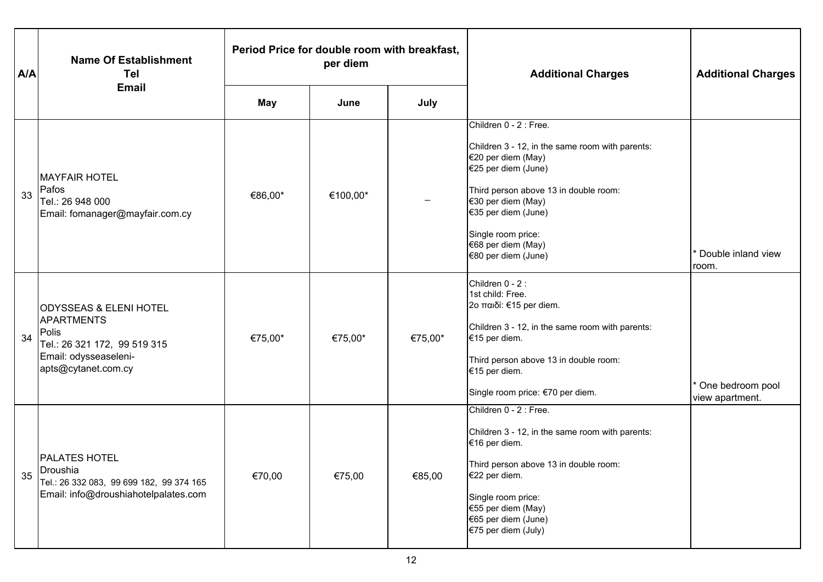| A/A | <b>Name Of Establishment</b><br>Tel                                                                                                      | Period Price for double room with breakfast,<br>per diem |          |         | <b>Additional Charges</b>                                                                                                                                                                                                                                                       | <b>Additional Charges</b>           |
|-----|------------------------------------------------------------------------------------------------------------------------------------------|----------------------------------------------------------|----------|---------|---------------------------------------------------------------------------------------------------------------------------------------------------------------------------------------------------------------------------------------------------------------------------------|-------------------------------------|
|     | <b>Email</b>                                                                                                                             | <b>May</b>                                               | June     | July    |                                                                                                                                                                                                                                                                                 |                                     |
| 33  | <b>MAYFAIR HOTEL</b><br>Pafos<br>Tel.: 26 948 000<br>Email: fomanager@mayfair.com.cy                                                     | €86,00*                                                  | €100,00* |         | Children 0 - 2 : Free.<br>Children 3 - 12, in the same room with parents:<br>€20 per diem (May)<br>€25 per diem (June)<br>Third person above 13 in double room:<br>€30 per diem (May)<br>€35 per diem (June)<br>Single room price:<br>€68 per diem (May)<br>€80 per diem (June) | Double inland view<br>room.         |
| 34  | <b>ODYSSEAS &amp; ELENI HOTEL</b><br>APARTMENTS<br>Polis<br>Tel.: 26 321 172, 99 519 315<br>Email: odysseaseleni-<br>apts@cytanet.com.cy | €75,00*                                                  | €75,00*  | €75,00* | Children 0 - 2 :<br>1st child: Free.<br>2ο παιδί: €15 per diem.<br>Children 3 - 12, in the same room with parents:<br>€15 per diem.<br>Third person above 13 in double room:<br>€15 per diem.<br>Single room price: €70 per diem.                                               | One bedroom pool<br>view apartment. |
| 35  | <b>PALATES HOTEL</b><br>Droushia<br>Tel.: 26 332 083, 99 699 182, 99 374 165<br>Email: info@droushiahotelpalates.com                     | €70,00                                                   | €75,00   | €85,00  | Children 0 - 2 : Free.<br>Children 3 - 12, in the same room with parents:<br>€16 per diem.<br>Third person above 13 in double room:<br>€22 per diem.<br>Single room price:<br>€55 per diem (May)<br>€65 per diem (June)<br>€75 per diem (July)                                  |                                     |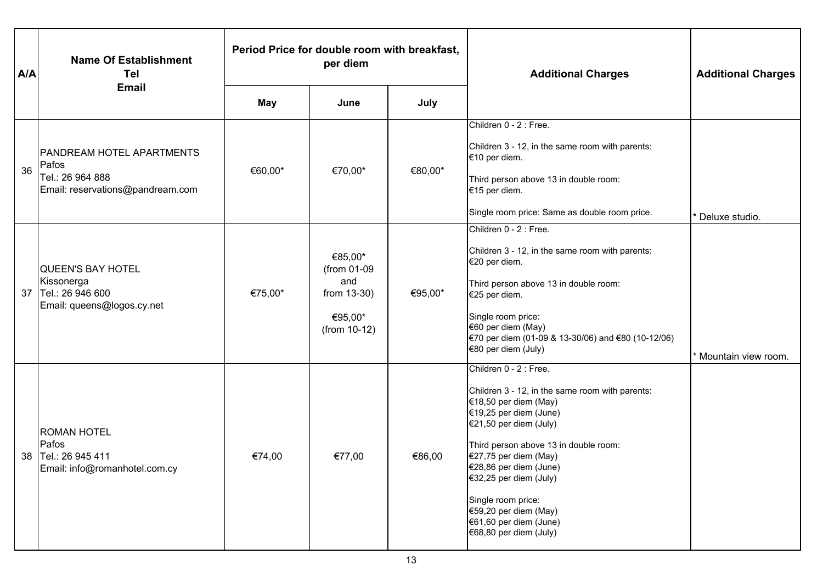| A/A | <b>Name Of Establishment</b><br>Tel<br><b>Email</b>                                               | Period Price for double room with breakfast,<br>per diem |                                                                         |         | <b>Additional Charges</b>                                                                                                                                                                                                                                                                                                                                                            | <b>Additional Charges</b> |
|-----|---------------------------------------------------------------------------------------------------|----------------------------------------------------------|-------------------------------------------------------------------------|---------|--------------------------------------------------------------------------------------------------------------------------------------------------------------------------------------------------------------------------------------------------------------------------------------------------------------------------------------------------------------------------------------|---------------------------|
|     |                                                                                                   | <b>May</b>                                               | June                                                                    | July    |                                                                                                                                                                                                                                                                                                                                                                                      |                           |
| 36  | <b>PANDREAM HOTEL APARTMENTS</b><br>Pafos<br>Tel.: 26 964 888<br>Email: reservations@pandream.com | €60,00*                                                  | €70,00*                                                                 | €80,00* | Children 0 - 2 : Free.<br>Children 3 - 12, in the same room with parents:<br>€10 per diem.<br>Third person above 13 in double room:<br>€15 per diem.<br>Single room price: Same as double room price.                                                                                                                                                                                | Deluxe studio.            |
| 37  | <b>QUEEN'S BAY HOTEL</b><br>Kissonerga<br>Tel.: 26 946 600<br>Email: queens@logos.cy.net          | €75,00*                                                  | €85,00*<br>(from 01-09<br>and<br>from 13-30)<br>€95,00*<br>(from 10-12) | €95,00* | Children 0 - 2 : Free.<br>Children 3 - 12, in the same room with parents:<br>€20 per diem.<br>Third person above 13 in double room:<br>€25 per diem.<br>Single room price:<br>€60 per diem (May)<br>€70 per diem (01-09 & 13-30/06) and €80 (10-12/06)<br>€80 per diem (July)                                                                                                        | Mountain view room.       |
| 38  | <b>ROMAN HOTEL</b><br>Pafos<br>Tel.: 26 945 411<br>Email: info@romanhotel.com.cy                  | €74,00                                                   | €77,00                                                                  | €86,00  | Children 0 - 2 : Free.<br>Children 3 - 12, in the same room with parents:<br>€18,50 per diem (May)<br>€19,25 per diem (June)<br>$€21,50$ per diem (July)<br>Third person above 13 in double room:<br>$€27,75$ per diem (May)<br>[€28,86 per diem (June)<br>€32,25 per diem (July)<br>Single room price:<br>€59,20 per diem (May)<br>€61,60 per diem (June)<br>€68,80 per diem (July) |                           |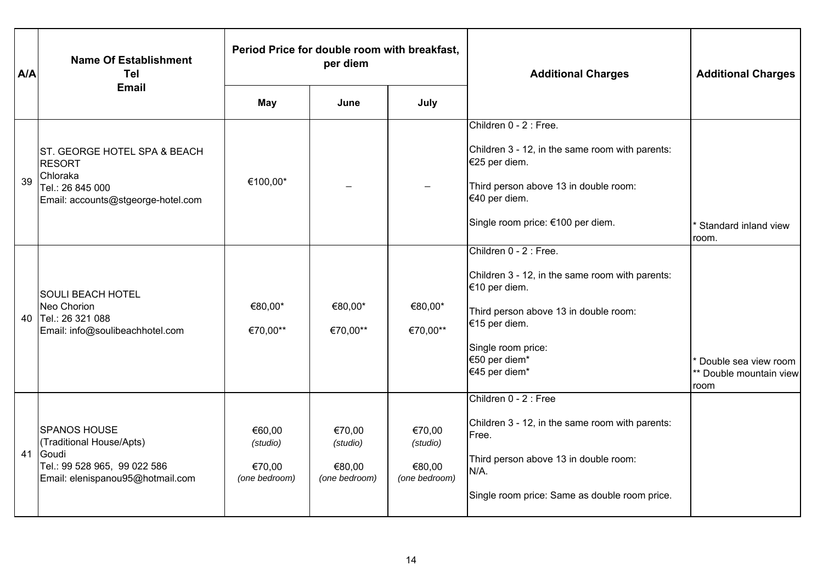| A/A | <b>Name Of Establishment</b><br><b>Tel</b><br><b>Email</b>                                                                   | Period Price for double room with breakfast,<br>per diem |                                               |                                               | <b>Additional Charges</b>                                                                                                                                                                                    | <b>Additional Charges</b>                               |
|-----|------------------------------------------------------------------------------------------------------------------------------|----------------------------------------------------------|-----------------------------------------------|-----------------------------------------------|--------------------------------------------------------------------------------------------------------------------------------------------------------------------------------------------------------------|---------------------------------------------------------|
|     |                                                                                                                              | May                                                      | June                                          | July                                          |                                                                                                                                                                                                              |                                                         |
| 39  | ST. GEORGE HOTEL SPA & BEACH<br><b>RESORT</b><br>Chloraka<br>Tel.: 26 845 000<br>Email: accounts@stgeorge-hotel.com          | €100,00*                                                 |                                               |                                               | Children 0 - 2 : Free.<br>Children 3 - 12, in the same room with parents:<br>€25 per diem.<br>Third person above 13 in double room:<br>€40 per diem.<br>Single room price: €100 per diem.                    | Standard inland view<br>room.                           |
| 40  | <b>SOULI BEACH HOTEL</b><br>Neo Chorion<br>Tel.: 26 321 088<br>Email: info@soulibeachhotel.com                               | €80,00*<br>€70,00**                                      | €80,00*<br>€70,00**                           | €80,00*<br>€70,00**                           | Children 0 - 2 : Free.<br>Children 3 - 12, in the same room with parents:<br>€10 per diem.<br>Third person above 13 in double room:<br>€15 per diem.<br>Single room price:<br>€50 per diem*<br>€45 per diem* | Double sea view room<br>** Double mountain view<br>room |
| 41  | <b>SPANOS HOUSE</b><br>(Traditional House/Apts)<br>Goudi<br>Tel.: 99 528 965, 99 022 586<br>Email: elenispanou95@hotmail.com | €60,00<br>(studio)<br>€70,00<br>(one bedroom)            | €70,00<br>(studio)<br>€80,00<br>(one bedroom) | €70,00<br>(studio)<br>€80,00<br>(one bedroom) | Children 0 - 2 : Free<br>Children 3 - 12, in the same room with parents:<br>Free.<br>Third person above 13 in double room:<br>N/A.<br>Single room price: Same as double room price.                          |                                                         |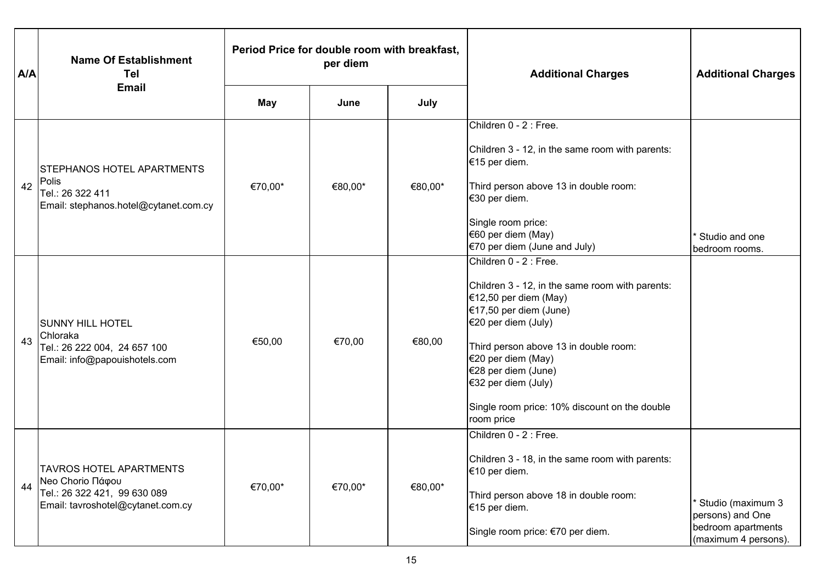| A/A | <b>Name Of Establishment</b><br>Tel<br><b>Email</b>                                                                     | Period Price for double room with breakfast,<br>per diem |         |         | <b>Additional Charges</b>                                                                                                                                                                                                                                                                                                         | <b>Additional Charges</b>                                                           |
|-----|-------------------------------------------------------------------------------------------------------------------------|----------------------------------------------------------|---------|---------|-----------------------------------------------------------------------------------------------------------------------------------------------------------------------------------------------------------------------------------------------------------------------------------------------------------------------------------|-------------------------------------------------------------------------------------|
|     |                                                                                                                         | <b>May</b>                                               | June    | July    |                                                                                                                                                                                                                                                                                                                                   |                                                                                     |
| 42  | <b>STEPHANOS HOTEL APARTMENTS</b><br>Polis<br>Tel.: 26 322 411<br>Email: stephanos.hotel@cytanet.com.cy                 | €70,00*                                                  | €80,00* | €80,00* | Children 0 - 2 : Free.<br>Children 3 - 12, in the same room with parents:<br>€15 per diem.<br>Third person above 13 in double room:<br>€30 per diem.<br>Single room price:<br>€60 per diem (May)<br>$€70$ per diem (June and July)                                                                                                | Studio and one<br>bedroom rooms.                                                    |
| 43  | <b>SUNNY HILL HOTEL</b><br>Chloraka<br>Tel.: 26 222 004, 24 657 100<br>Email: info@papouishotels.com                    | €50,00                                                   | €70,00  | €80,00  | Children 0 - 2 : Free.<br>Children 3 - 12, in the same room with parents:<br>$€12,50$ per diem (May)<br>€17,50 per diem (June)<br>€20 per diem (July)<br>Third person above 13 in double room:<br>€20 per diem (May)<br>€28 per diem (June)<br>€32 per diem (July)<br>Single room price: 10% discount on the double<br>room price |                                                                                     |
| 44  | <b>TAVROS HOTEL APARTMENTS</b><br>Neo Chorio Πάφου<br>Tel.: 26 322 421, 99 630 089<br>Email: tavroshotel@cytanet.com.cy | €70,00*                                                  | €70,00* | €80,00* | Children 0 - 2 : Free.<br>Children 3 - 18, in the same room with parents:<br>€10 per diem.<br>Third person above 18 in double room:<br>€15 per diem.<br>Single room price: €70 per diem.                                                                                                                                          | Studio (maximum 3<br>persons) and One<br>bedroom apartments<br>(maximum 4 persons). |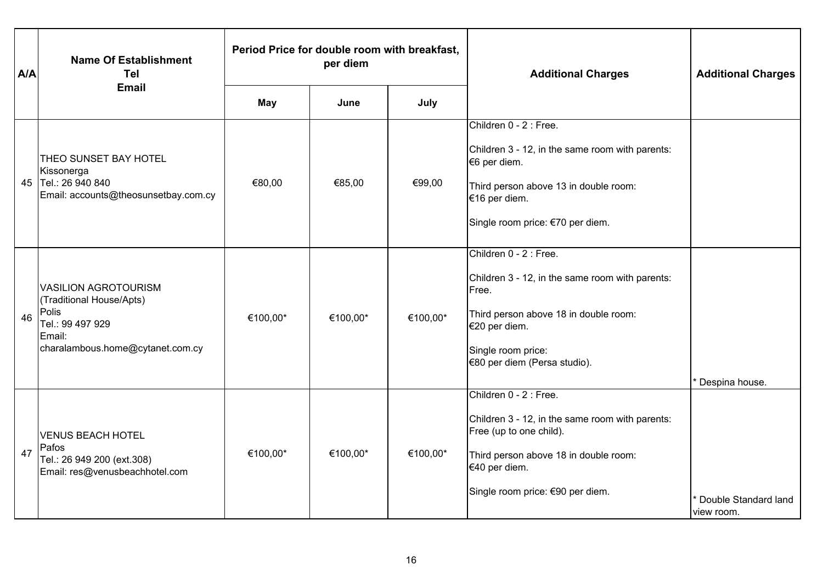| A/A | <b>Name Of Establishment</b><br>Tel<br><b>Email</b>                                                                                | Period Price for double room with breakfast,<br>per diem |          |          | <b>Additional Charges</b>                                                                                                                                                                          | <b>Additional Charges</b>          |
|-----|------------------------------------------------------------------------------------------------------------------------------------|----------------------------------------------------------|----------|----------|----------------------------------------------------------------------------------------------------------------------------------------------------------------------------------------------------|------------------------------------|
|     |                                                                                                                                    | <b>May</b>                                               | June     | July     |                                                                                                                                                                                                    |                                    |
|     | <b>THEO SUNSET BAY HOTEL</b><br>Kissonerga<br>45 Tel.: 26 940 840<br>Email: accounts@theosunsetbay.com.cy                          | €80,00                                                   | €85,00   | €99,00   | Children 0 - 2 : Free.<br>Children 3 - 12, in the same room with parents:<br>€6 per diem.<br>Third person above 13 in double room:<br>€16 per diem.<br>Single room price: €70 per diem.            |                                    |
| 46  | <b>VASILION AGROTOURISM</b><br>(Traditional House/Apts)<br>Polis<br>Tel.: 99 497 929<br>Email:<br>charalambous.home@cytanet.com.cy | €100,00*                                                 | €100,00* | €100,00* | Children 0 - 2 : Free.<br>Children 3 - 12, in the same room with parents:<br>Free.<br>Third person above 18 in double room:<br>€20 per diem.<br>Single room price:<br>€80 per diem (Persa studio). | Despina house.                     |
| 47  | <b>VENUS BEACH HOTEL</b><br>Pafos<br>Tel.: 26 949 200 (ext.308)<br>Email: res@venusbeachhotel.com                                  | €100,00*                                                 | €100,00* | €100,00* | Children 0 - 2 : Free.<br>Children 3 - 12, in the same room with parents:<br>Free (up to one child).<br>Third person above 18 in double room:<br>€40 per diem.<br>Single room price: €90 per diem. | Double Standard land<br>view room. |